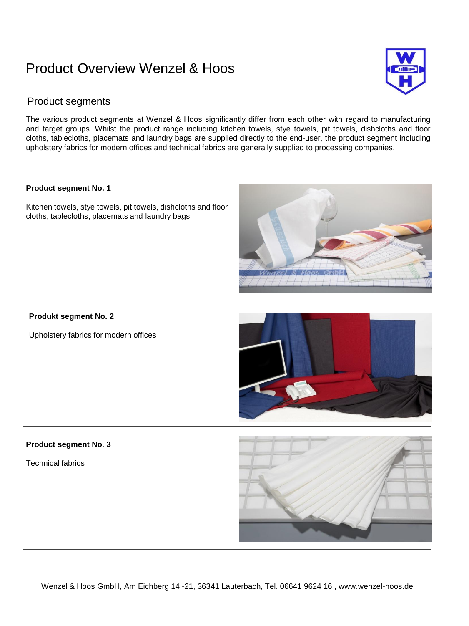## Product Overview Wenzel & Hoos



### Product segments

The various product segments at Wenzel & Hoos significantly differ from each other with regard to manufacturing and target groups. Whilst the product range including kitchen towels, stye towels, pit towels, dishcloths and floor cloths, tablecloths, placemats and laundry bags are supplied directly to the end-user, the product segment including upholstery fabrics for modern offices and technical fabrics are generally supplied to processing companies.

#### **Product segment No. 1**

Kitchen towels, stye towels, pit towels, dishcloths and floor cloths, tablecloths, placemats and laundry bags

#### **Produkt segment No. 2**

Upholstery fabrics for modern offices



V & Hoos: GmbH

#### **Product segment No. 3**

Technical fabrics

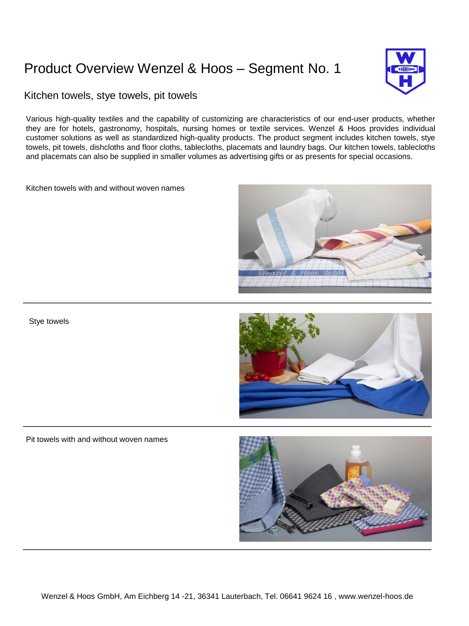# Product Overview Wenzel & Hoos – Segment No. 1



### Kitchen towels, stye towels, pit towels

Various high-quality textiles and the capability of customizing are characteristics of our end-user products, whether they are for hotels, gastronomy, hospitals, nursing homes or textile services. Wenzel & Hoos provides individual customer solutions as well as standardized high-quality products. The product segment includes kitchen towels, stye towels, pit towels, dishcloths and floor cloths, tablecloths, placemats and laundry bags. Our kitchen towels, tablecloths and placemats can also be supplied in smaller volumes as advertising gifts or as presents for special occasions.

Kitchen towels with and without woven names





#### Pit towels with and without woven names

Stye towels

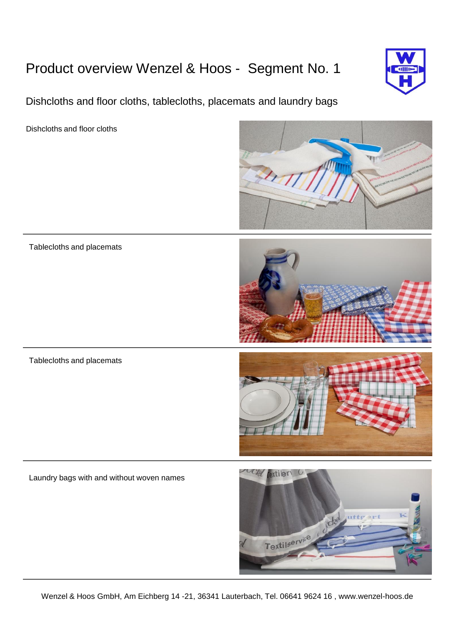# Product overview Wenzel & Hoos - Segment No. 1

Dishcloths and floor cloths, tablecloths, placemats and laundry bags

Dishcloths and floor cloths



Tablecloths and placemats



Tablecloths and placemats



Laundry bags with and without woven names

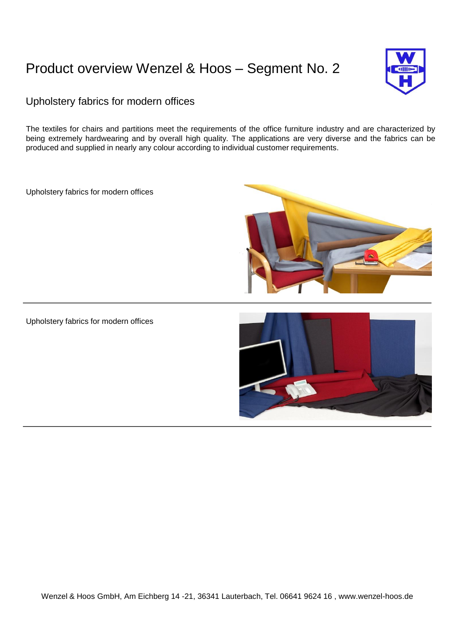## Product overview Wenzel & Hoos – Segment No. 2



## Upholstery fabrics for modern offices

The textiles for chairs and partitions meet the requirements of the office furniture industry and are characterized by being extremely hardwearing and by overall high quality. The applications are very diverse and the fabrics can be produced and supplied in nearly any colour according to individual customer requirements.

Upholstery fabrics for modern offices



Upholstery fabrics for modern offices

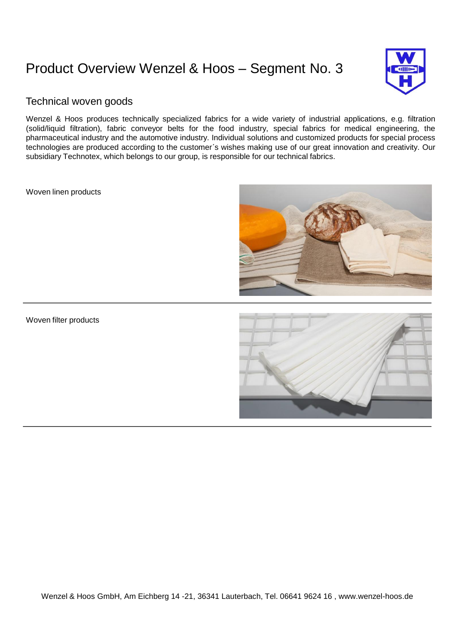# Product Overview Wenzel & Hoos – Segment No. 3



### Technical woven goods

Wenzel & Hoos produces technically specialized fabrics for a wide variety of industrial applications, e.g. filtration (solid/liquid filtration), fabric conveyor belts for the food industry, special fabrics for medical engineering, the pharmaceutical industry and the automotive industry. Individual solutions and customized products for special process technologies are produced according to the customer´s wishes making use of our great innovation and creativity. Our subsidiary Technotex, which belongs to our group, is responsible for our technical fabrics.

Woven linen products



### Woven filter products